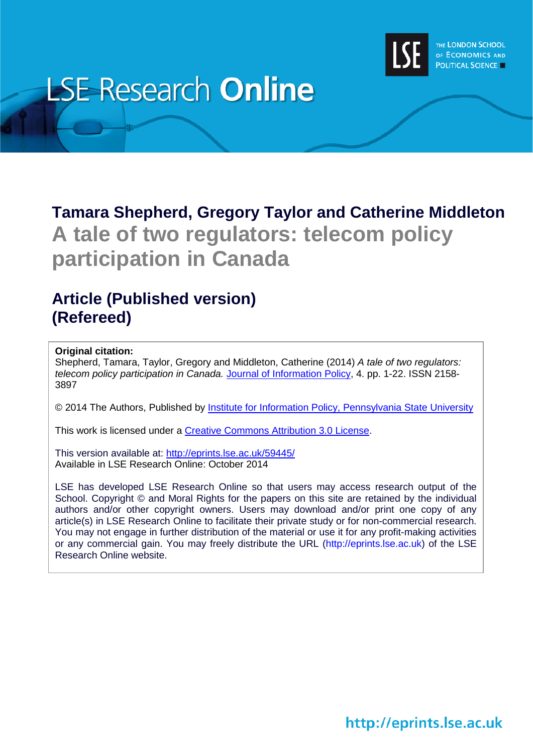

# **LSE Research Online**

## **Tamara Shepherd, Gregory Taylor and Catherine Middleton A tale of two regulators: telecom policy participation in Canada**

## **Article (Published version) (Refereed)**

#### **Original citation:**

Shepherd, Tamara, Taylor, Gregory and Middleton, Catherine (2014) *A tale of two regulators: telecom policy participation in Canada.* [Journal of Information Policy,](http://jip.vmhost.psu.edu/ojs/index.php/jip/) 4. pp. 1-22. ISSN 2158- 3897

© 2014 The Authors, Published by [Institute for Information Policy, Pennsylvania State University](http://sites.comm.psu.edu/iip/)

This work is licensed under a [Creative Commons Attribution 3.0 License.](http://creativecommons.org/licenses/by/3.0/)

This version available at:<http://eprints.lse.ac.uk/59445/> Available in LSE Research Online: October 2014

LSE has developed LSE Research Online so that users may access research output of the School. Copyright © and Moral Rights for the papers on this site are retained by the individual authors and/or other copyright owners. Users may download and/or print one copy of any article(s) in LSE Research Online to facilitate their private study or for non-commercial research. You may not engage in further distribution of the material or use it for any profit-making activities or any commercial gain. You may freely distribute the URL (http://eprints.lse.ac.uk) of the LSE Research Online website.

http://eprints.lse.ac.uk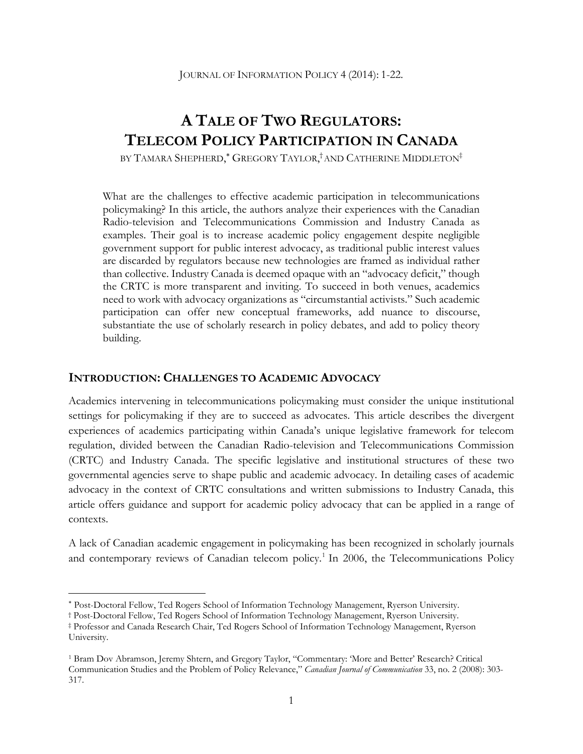### **A TALE OF TWO REGULATORS: TELECOM POLICY PARTICIPATION IN CANADA**

BY TAMARA SHEPHERD,<sup>\*</sup> GREGORY TAYLOR,<sup>†</sup> AND CATHERINE MIDDLETON<sup>‡</sup>

What are the challenges to effective academic participation in telecommunications policymaking? In this article, the authors analyze their experiences with the Canadian Radio-television and Telecommunications Commission and Industry Canada as examples. Their goal is to increase academic policy engagement despite negligible government support for public interest advocacy, as traditional public interest values are discarded by regulators because new technologies are framed as individual rather than collective. Industry Canada is deemed opaque with an "advocacy deficit," though the CRTC is more transparent and inviting. To succeed in both venues, academics need to work with advocacy organizations as "circumstantial activists." Such academic participation can offer new conceptual frameworks, add nuance to discourse, substantiate the use of scholarly research in policy debates, and add to policy theory building.

#### **INTRODUCTION: CHALLENGES TO ACADEMIC ADVOCACY**

Academics intervening in telecommunications policymaking must consider the unique institutional settings for policymaking if they are to succeed as advocates. This article describes the divergent experiences of academics participating within Canada's unique legislative framework for telecom regulation, divided between the Canadian Radio-television and Telecommunications Commission (CRTC) and Industry Canada. The specific legislative and institutional structures of these two governmental agencies serve to shape public and academic advocacy. In detailing cases of academic advocacy in the context of CRTC consultations and written submissions to Industry Canada, this article offers guidance and support for academic policy advocacy that can be applied in a range of contexts.

A lack of Canadian academic engagement in policymaking has been recognized in scholarly journals and contemporary reviews of Canadian telecom policy.<sup>1</sup> In 2006, the Telecommunications Policy

 Post-Doctoral Fellow, Ted Rogers School of Information Technology Management, Ryerson University.

<sup>†</sup> Post-Doctoral Fellow, Ted Rogers School of Information Technology Management, Ryerson University.

<sup>‡</sup> Professor and Canada Research Chair, Ted Rogers School of Information Technology Management, Ryerson University.

<sup>1</sup> Bram Dov Abramson, Jeremy Shtern, and Gregory Taylor, "Commentary: 'More and Better' Research? Critical Communication Studies and the Problem of Policy Relevance," *Canadian Journal of Communication* 33, no. 2 (2008): 303- 317.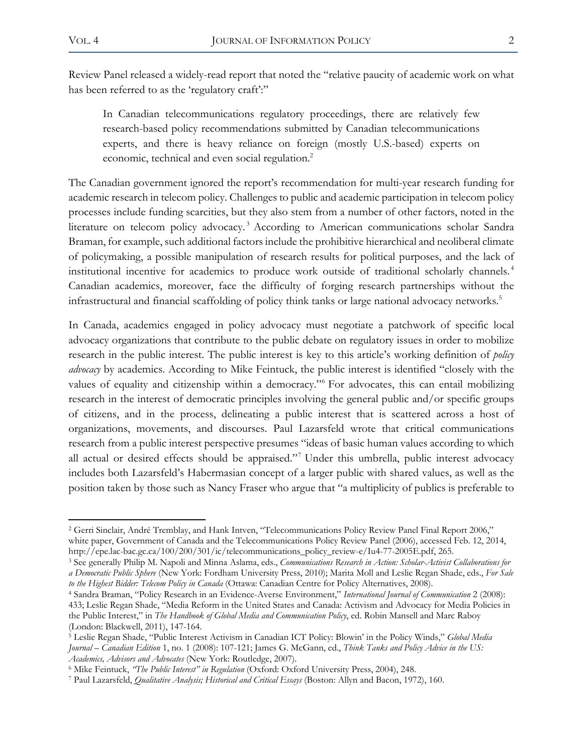Review Panel released a widely-read report that noted the "relative paucity of academic work on what has been referred to as the 'regulatory craft':"

In Canadian telecommunications regulatory proceedings, there are relatively few research-based policy recommendations submitted by Canadian telecommunications experts, and there is heavy reliance on foreign (mostly U.S.-based) experts on economic, technical and even social regulation.<sup>2</sup>

The Canadian government ignored the report's recommendation for multi-year research funding for academic research in telecom policy. Challenges to public and academic participation in telecom policy processes include funding scarcities, but they also stem from a number of other factors, noted in the literature on telecom policy advocacy.<sup>3</sup> According to American communications scholar Sandra Braman, for example, such additional factors include the prohibitive hierarchical and neoliberal climate of policymaking, a possible manipulation of research results for political purposes, and the lack of institutional incentive for academics to produce work outside of traditional scholarly channels. <sup>4</sup> Canadian academics, moreover, face the difficulty of forging research partnerships without the infrastructural and financial scaffolding of policy think tanks or large national advocacy networks.5

In Canada, academics engaged in policy advocacy must negotiate a patchwork of specific local advocacy organizations that contribute to the public debate on regulatory issues in order to mobilize research in the public interest. The public interest is key to this article's working definition of *policy advocacy* by academics. According to Mike Feintuck, the public interest is identified "closely with the values of equality and citizenship within a democracy."<sup>6</sup> For advocates, this can entail mobilizing research in the interest of democratic principles involving the general public and/or specific groups of citizens, and in the process, delineating a public interest that is scattered across a host of organizations, movements, and discourses. Paul Lazarsfeld wrote that critical communications research from a public interest perspective presumes "ideas of basic human values according to which all actual or desired effects should be appraised."<sup>7</sup> Under this umbrella, public interest advocacy includes both Lazarsfeld's Habermasian concept of a larger public with shared values, as well as the position taken by those such as Nancy Fraser who argue that "a multiplicity of publics is preferable to

<sup>2</sup> Gerri Sinclair, André Tremblay, and Hank Intven, "Telecommunications Policy Review Panel Final Report 2006," white paper, Government of Canada and the Telecommunications Policy Review Panel (2006), accessed Feb. 12, 2014, http://epe.lac-bac.gc.ca/100/200/301/ic/telecommunications\_policy\_review-e/Iu4-77-2005E.pdf, 265.<br><sup>3</sup> See generally Philip M. Napoli and Minna Aslama, eds., *Communications Research in Action: Scholar-Activist Collaboratio* 

*a Democratic Public Sphere* (New York: Fordham University Press, 2010); Marita Moll and Leslie Regan Shade, eds., *For Sale*  to the Highest Bidder: Telecom Policy in Canada (Ottawa: Canadian Centre for Policy Alternatives, 2008).<br><sup>4</sup> Sandra Braman, "Policy Research in an Evidence-Averse Environment," International Journal of Communication 2 (200

<sup>433;</sup> Leslie Regan Shade, "Media Reform in the United States and Canada: Activism and Advocacy for Media Policies in the Public Interest," in *The Handbook of Global Media and Communication Policy*, ed. Robin Mansell and Marc Raboy (London: Blackwell, 2011), 147-164.<br><sup>5</sup> Leslie Regan Shade, "Public Interest Activism in Canadian ICT Policy: Blowin' in the Policy Winds," *Global Media* 

*Journal – Canadian Edition* 1, no. 1 (2008): 107-121; James G. McGann, ed., *Think Tanks and Policy Advice in the US:*  Academics, Advisors and Advocates (New York: Routledge, 2007).<br><sup>6</sup> Mike Feintuck, *"The Public Interest" in Regulation* (Oxford: Oxford University Press, 2004), 248.<br><sup>7</sup> Paul Lazarsfeld, *Qualitative Analysis; Historical a*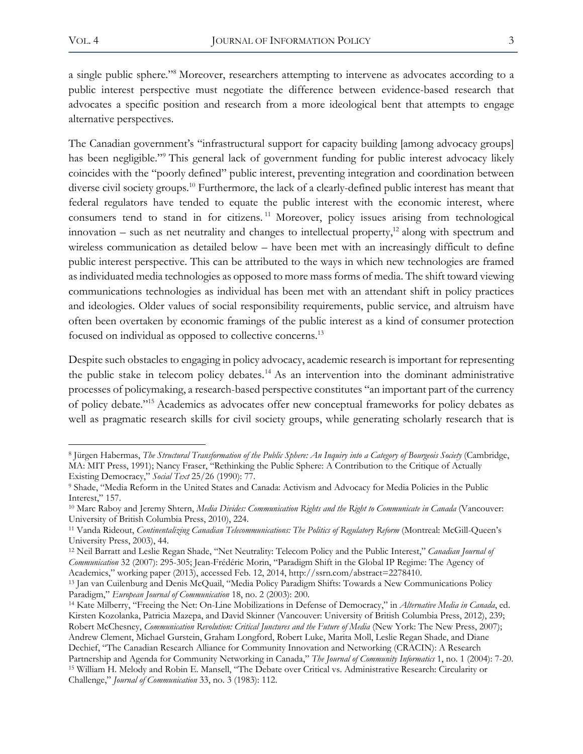a single public sphere."<sup>8</sup> Moreover, researchers attempting to intervene as advocates according to a public interest perspective must negotiate the difference between evidence-based research that advocates a specific position and research from a more ideological bent that attempts to engage alternative perspectives.

The Canadian government's "infrastructural support for capacity building [among advocacy groups] has been negligible."<sup>9</sup> This general lack of government funding for public interest advocacy likely coincides with the "poorly defined" public interest, preventing integration and coordination between diverse civil society groups.<sup>10</sup> Furthermore, the lack of a clearly-defined public interest has meant that federal regulators have tended to equate the public interest with the economic interest, where consumers tend to stand in for citizens.<sup>11</sup> Moreover, policy issues arising from technological innovation – such as net neutrality and changes to intellectual property,<sup>12</sup> along with spectrum and wireless communication as detailed below – have been met with an increasingly difficult to define public interest perspective. This can be attributed to the ways in which new technologies are framed as individuated media technologies as opposed to more mass forms of media. The shift toward viewing communications technologies as individual has been met with an attendant shift in policy practices and ideologies. Older values of social responsibility requirements, public service, and altruism have often been overtaken by economic framings of the public interest as a kind of consumer protection focused on individual as opposed to collective concerns.13

Despite such obstacles to engaging in policy advocacy, academic research is important for representing the public stake in telecom policy debates.<sup>14</sup> As an intervention into the dominant administrative processes of policymaking, a research-based perspective constitutes "an important part of the currency of policy debate."15 Academics as advocates offer new conceptual frameworks for policy debates as well as pragmatic research skills for civil society groups, while generating scholarly research that is

<sup>8</sup> Jürgen Habermas, *The Structural Transformation of the Public Sphere: An Inquiry into a Category of Bourgeois Society* (Cambridge, MA: MIT Press, 1991); Nancy Fraser, "Rethinking the Public Sphere: A Contribution to the Critique of Actually

Existing Democracy," *Social Text* 25/26 (1990): 77. 9 Shade, "Media Reform in the United States and Canada: Activism and Advocacy for Media Policies in the Public Interest," 157.

<sup>10</sup> Marc Raboy and Jeremy Shtern, *Media Divides: Communication Rights and the Right to Communicate in Canada* (Vancouver: University of British Columbia Press, 2010), 224.<br><sup>11</sup> Vanda Rideout, *Continentalizing Canadian Telecommunications: The Politics of Regulatory Reform (Montreal: McGill-Queen's* 

University Press, 2003), 44.

<sup>12</sup> Neil Barratt and Leslie Regan Shade, "Net Neutrality: Telecom Policy and the Public Interest," *Canadian Journal of Communication* 32 (2007): 295-305; Jean-Frédéric Morin, "Paradigm Shift in the Global IP Regime: The Agency of Academics," working paper (2013), accessed Feb. 12, 2014, http://ssrn.com/abstract=2278410. 13 Jan van Cuilenburg and Denis McQuail, "Media Policy Paradigm Shifts: Towards a New Communications Policy

Paradigm," *European Journal of Communication* 18, no. 2 (2003): 200.<br><sup>14</sup> Kate Milberry, "Freeing the Net: On-Line Mobilizations in Defense of Democracy," in *Alternative Media in Canada*, ed.

Kirsten Kozolanka, Patricia Mazepa, and David Skinner (Vancouver: University of British Columbia Press, 2012), 239; Robert McChesney, *Communication Revolution: Critical Junctures and the Future of Media* (New York: The New Press, 2007); Andrew Clement, Michael Gurstein, Graham Longford, Robert Luke, Marita Moll, Leslie Regan Shade, and Diane Dechief, "The Canadian Research Alliance for Community Innovation and Networking (CRACIN): A Research Partnership and Agenda for Community Networking in Canada," The Journal of Community Informatics 1, no. 1 (2004): 7-20.<br><sup>15</sup> William H. Melody and Robin E. Mansell, "The Debate over Critical vs. Administrative Research: Ci Challenge," *Journal of Communication* 33, no. 3 (1983): 112.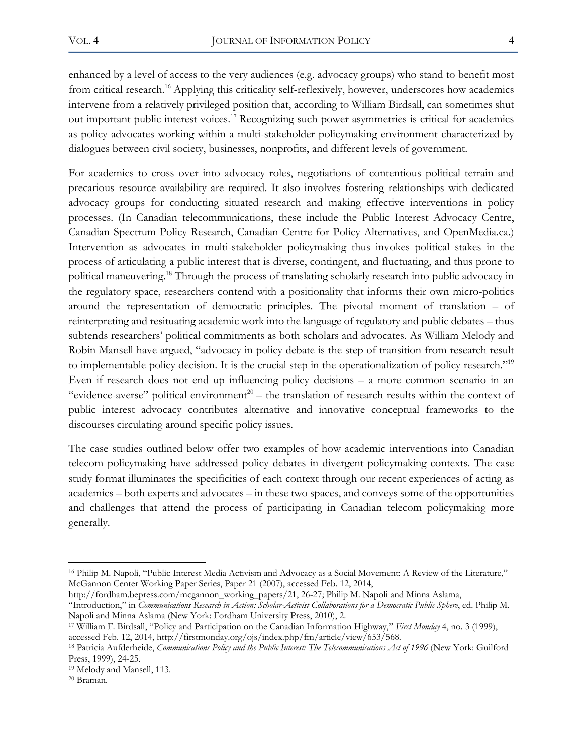enhanced by a level of access to the very audiences (e.g. advocacy groups) who stand to benefit most from critical research.<sup>16</sup> Applying this criticality self-reflexively, however, underscores how academics intervene from a relatively privileged position that, according to William Birdsall, can sometimes shut out important public interest voices.<sup>17</sup> Recognizing such power asymmetries is critical for academics as policy advocates working within a multi-stakeholder policymaking environment characterized by dialogues between civil society, businesses, nonprofits, and different levels of government.

For academics to cross over into advocacy roles, negotiations of contentious political terrain and precarious resource availability are required. It also involves fostering relationships with dedicated advocacy groups for conducting situated research and making effective interventions in policy processes. (In Canadian telecommunications, these include the Public Interest Advocacy Centre, Canadian Spectrum Policy Research, Canadian Centre for Policy Alternatives, and OpenMedia.ca.) Intervention as advocates in multi-stakeholder policymaking thus invokes political stakes in the process of articulating a public interest that is diverse, contingent, and fluctuating, and thus prone to political maneuvering.18 Through the process of translating scholarly research into public advocacy in the regulatory space, researchers contend with a positionality that informs their own micro-politics around the representation of democratic principles. The pivotal moment of translation – of reinterpreting and resituating academic work into the language of regulatory and public debates – thus subtends researchers' political commitments as both scholars and advocates. As William Melody and Robin Mansell have argued, "advocacy in policy debate is the step of transition from research result to implementable policy decision. It is the crucial step in the operationalization of policy research."19 Even if research does not end up influencing policy decisions – a more common scenario in an "evidence-averse" political environment<sup>20</sup> – the translation of research results within the context of public interest advocacy contributes alternative and innovative conceptual frameworks to the discourses circulating around specific policy issues.

The case studies outlined below offer two examples of how academic interventions into Canadian telecom policymaking have addressed policy debates in divergent policymaking contexts. The case study format illuminates the specificities of each context through our recent experiences of acting as academics – both experts and advocates – in these two spaces, and conveys some of the opportunities and challenges that attend the process of participating in Canadian telecom policymaking more generally.

<sup>16</sup> Philip M. Napoli, "Public Interest Media Activism and Advocacy as a Social Movement: A Review of the Literature," McGannon Center Working Paper Series, Paper 21 (2007), accessed Feb. 12, 2014,

http://fordham.bepress.com/mcgannon\_working\_papers/21, 26-27; Philip M. Napoli and Minna Aslama,

<sup>&</sup>quot;Introduction," in *Communications Research in Action: Scholar-Activist Collaborations for a Democratic Public Sphere*, ed. Philip M. Napoli and Minna Aslama (New York: Fordham University Press, 2010), 2. 17 William F. Birdsall, "Policy and Participation on the Canadian Information Highway," *First Monday* 4, no. 3 (1999),

accessed Feb. 12, 2014, http://firstmonday.org/ojs/index.php/fm/article/view/653/568. 18 Patricia Aufderheide, *Communications Policy and the Public Interest: The Telecommunications Act of 1996* (New York: Guilford

Press, 1999), 24-25.

<sup>19</sup> Melody and Mansell, 113.

<sup>20</sup> Braman.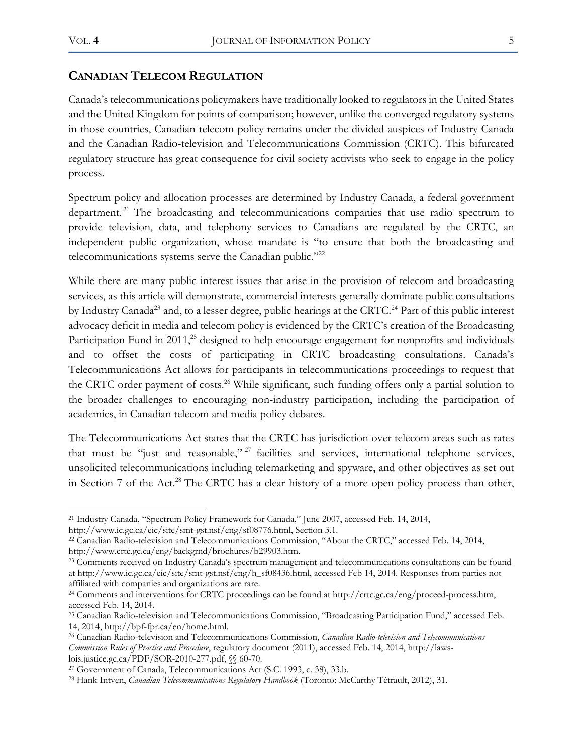#### **CANADIAN TELECOM REGULATION**

Canada's telecommunications policymakers have traditionally looked to regulators in the United States and the United Kingdom for points of comparison; however, unlike the converged regulatory systems in those countries, Canadian telecom policy remains under the divided auspices of Industry Canada and the Canadian Radio-television and Telecommunications Commission (CRTC). This bifurcated regulatory structure has great consequence for civil society activists who seek to engage in the policy process.

Spectrum policy and allocation processes are determined by Industry Canada, a federal government department.<sup>21</sup> The broadcasting and telecommunications companies that use radio spectrum to provide television, data, and telephony services to Canadians are regulated by the CRTC, an independent public organization, whose mandate is "to ensure that both the broadcasting and telecommunications systems serve the Canadian public."<sup>22</sup>

While there are many public interest issues that arise in the provision of telecom and broadcasting services, as this article will demonstrate, commercial interests generally dominate public consultations by Industry Canada<sup>23</sup> and, to a lesser degree, public hearings at the CRTC.<sup>24</sup> Part of this public interest advocacy deficit in media and telecom policy is evidenced by the CRTC's creation of the Broadcasting Participation Fund in 2011,<sup>25</sup> designed to help encourage engagement for nonprofits and individuals and to offset the costs of participating in CRTC broadcasting consultations. Canada's Telecommunications Act allows for participants in telecommunications proceedings to request that the CRTC order payment of costs.<sup>26</sup> While significant, such funding offers only a partial solution to the broader challenges to encouraging non-industry participation, including the participation of academics, in Canadian telecom and media policy debates.

The Telecommunications Act states that the CRTC has jurisdiction over telecom areas such as rates that must be "just and reasonable," 27 facilities and services, international telephone services, unsolicited telecommunications including telemarketing and spyware, and other objectives as set out in Section 7 of the Act.<sup>28</sup> The CRTC has a clear history of a more open policy process than other,

<sup>21</sup> Industry Canada, "Spectrum Policy Framework for Canada," June 2007, accessed Feb. 14, 2014,

http://www.ic.gc.ca/eic/site/smt-gst.nsf/eng/sf08776.html, Section 3.1. 22 Canadian Radio-television and Telecommunications Commission, "About the CRTC," accessed Feb. 14, 2014, http://www.crtc.gc.ca/eng/backgrnd/brochures/b29903.htm.<br><sup>23</sup> Comments received on Industry Canada's spectrum management and telecommunications consultations can be found

at http://www.ic.gc.ca/eic/site/smt-gst.nsf/eng/h\_sf08436.html, accessed Feb 14, 2014. Responses from parties not affiliated with companies and organizations are rare. 24 Comments and interventions for CRTC proceedings can be found at http://crtc.gc.ca/eng/proceed-process.htm,

accessed Feb. 14, 2014.

<sup>25</sup> Canadian Radio-television and Telecommunications Commission, "Broadcasting Participation Fund," accessed Feb. 14, 2014, http://bpf-fpr.ca/en/home.html. 26 Canadian Radio-television and Telecommunications Commission, *Canadian Radio-television and Telecommunications* 

*Commission Rules of Practice and Procedure*, regulatory document (2011), accessed Feb. 14, 2014, http://lawslois.justice.gc.ca/PDF/SOR-2010-277.pdf, §§ 60-70.

<sup>27</sup> Government of Canada, Telecommunications Act (S.C. 1993, c. 38), 33.b. 28 Hank Intven, *Canadian Telecommunications Regulatory Handbook* (Toronto: McCarthy Tétrault, 2012), 31.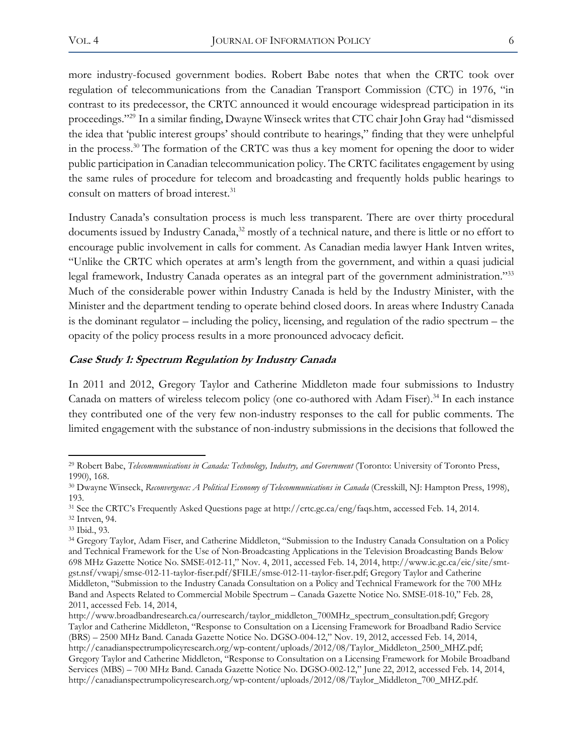more industry-focused government bodies. Robert Babe notes that when the CRTC took over regulation of telecommunications from the Canadian Transport Commission (CTC) in 1976, "in contrast to its predecessor, the CRTC announced it would encourage widespread participation in its proceedings."29 In a similar finding, Dwayne Winseck writes that CTC chair John Gray had "dismissed the idea that 'public interest groups' should contribute to hearings," finding that they were unhelpful in the process.30 The formation of the CRTC was thus a key moment for opening the door to wider public participation in Canadian telecommunication policy. The CRTC facilitates engagement by using the same rules of procedure for telecom and broadcasting and frequently holds public hearings to consult on matters of broad interest.<sup>31</sup>

Industry Canada's consultation process is much less transparent. There are over thirty procedural documents issued by Industry Canada,<sup>32</sup> mostly of a technical nature, and there is little or no effort to encourage public involvement in calls for comment. As Canadian media lawyer Hank Intven writes, "Unlike the CRTC which operates at arm's length from the government, and within a quasi judicial legal framework, Industry Canada operates as an integral part of the government administration."33 Much of the considerable power within Industry Canada is held by the Industry Minister, with the Minister and the department tending to operate behind closed doors. In areas where Industry Canada is the dominant regulator – including the policy, licensing, and regulation of the radio spectrum – the opacity of the policy process results in a more pronounced advocacy deficit.

#### **Case Study 1: Spectrum Regulation by Industry Canada**

In 2011 and 2012, Gregory Taylor and Catherine Middleton made four submissions to Industry Canada on matters of wireless telecom policy (one co-authored with Adam Fiser).34 In each instance they contributed one of the very few non-industry responses to the call for public comments. The limited engagement with the substance of non-industry submissions in the decisions that followed the

<sup>29</sup> Robert Babe, *Telecommunications in Canada: Technology, Industry, and Government* (Toronto: University of Toronto Press, 1990), 168.

<sup>30</sup> Dwayne Winseck, *Reconvergence: A Political Economy of Telecommunications in Canada* (Cresskill, NJ: Hampton Press, 1998), 193.

<sup>31</sup> See the CRTC's Frequently Asked Questions page at http://crtc.gc.ca/eng/faqs.htm, accessed Feb. 14, 2014.

<sup>32</sup> Intven, 94.

<sup>33</sup> Ibid., 93.

<sup>34</sup> Gregory Taylor, Adam Fiser, and Catherine Middleton, "Submission to the Industry Canada Consultation on a Policy and Technical Framework for the Use of Non-Broadcasting Applications in the Television Broadcasting Bands Below 698 MHz Gazette Notice No. SMSE-012-11," Nov. 4, 2011, accessed Feb. 14, 2014, http://www.ic.gc.ca/eic/site/smtgst.nsf/vwapj/smse-012-11-taylor-fiser.pdf/\$FILE/smse-012-11-taylor-fiser.pdf; Gregory Taylor and Catherine Middleton, "Submission to the Industry Canada Consultation on a Policy and Technical Framework for the 700 MHz Band and Aspects Related to Commercial Mobile Spectrum – Canada Gazette Notice No. SMSE-018-10," Feb. 28, 2011, accessed Feb. 14, 2014,

http://www.broadbandresearch.ca/ourresearch/taylor\_middleton\_700MHz\_spectrum\_consultation.pdf; Gregory Taylor and Catherine Middleton, "Response to Consultation on a Licensing Framework for Broadband Radio Service (BRS) – 2500 MHz Band. Canada Gazette Notice No. DGSO-004-12," Nov. 19, 2012, accessed Feb. 14, 2014, http://canadianspectrumpolicyresearch.org/wp-content/uploads/2012/08/Taylor\_Middleton\_2500\_MHZ.pdf; Gregory Taylor and Catherine Middleton, "Response to Consultation on a Licensing Framework for Mobile Broadband Services (MBS) – 700 MHz Band. Canada Gazette Notice No. DGSO-002-12," June 22, 2012, accessed Feb. 14, 2014, http://canadianspectrumpolicyresearch.org/wp-content/uploads/2012/08/Taylor\_Middleton\_700\_MHZ.pdf.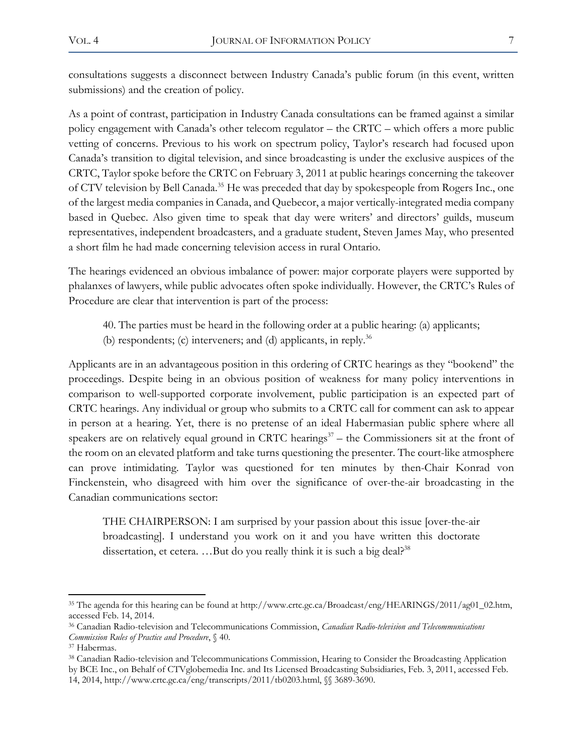consultations suggests a disconnect between Industry Canada's public forum (in this event, written submissions) and the creation of policy.

As a point of contrast, participation in Industry Canada consultations can be framed against a similar policy engagement with Canada's other telecom regulator – the CRTC – which offers a more public vetting of concerns. Previous to his work on spectrum policy, Taylor's research had focused upon Canada's transition to digital television, and since broadcasting is under the exclusive auspices of the CRTC, Taylor spoke before the CRTC on February 3, 2011 at public hearings concerning the takeover of CTV television by Bell Canada.<sup>35</sup> He was preceded that day by spokespeople from Rogers Inc., one of the largest media companies in Canada, and Quebecor, a major vertically-integrated media company based in Quebec. Also given time to speak that day were writers' and directors' guilds, museum representatives, independent broadcasters, and a graduate student, Steven James May, who presented a short film he had made concerning television access in rural Ontario.

The hearings evidenced an obvious imbalance of power: major corporate players were supported by phalanxes of lawyers, while public advocates often spoke individually. However, the CRTC's Rules of Procedure are clear that intervention is part of the process:

- 40. The parties must be heard in the following order at a public hearing: (a) applicants;
- (b) respondents; (c) interveners; and (d) applicants, in reply.36

Applicants are in an advantageous position in this ordering of CRTC hearings as they "bookend" the proceedings. Despite being in an obvious position of weakness for many policy interventions in comparison to well-supported corporate involvement, public participation is an expected part of CRTC hearings. Any individual or group who submits to a CRTC call for comment can ask to appear in person at a hearing. Yet, there is no pretense of an ideal Habermasian public sphere where all speakers are on relatively equal ground in CRTC hearings $37$  – the Commissioners sit at the front of the room on an elevated platform and take turns questioning the presenter. The court-like atmosphere can prove intimidating. Taylor was questioned for ten minutes by then-Chair Konrad von Finckenstein, who disagreed with him over the significance of over-the-air broadcasting in the Canadian communications sector:

THE CHAIRPERSON: I am surprised by your passion about this issue [over-the-air broadcasting]. I understand you work on it and you have written this doctorate dissertation, et cetera. ...But do you really think it is such a big deal?<sup>38</sup>

<sup>35</sup> The agenda for this hearing can be found at http://www.crtc.gc.ca/Broadcast/eng/HEARINGS/2011/ag01\_02.htm, accessed Feb. 14, 2014.

<sup>36</sup> Canadian Radio-television and Telecommunications Commission, *Canadian Radio-television and Telecommunications Commission Rules of Practice and Procedure*, § 40. 37 Habermas.

<sup>38</sup> Canadian Radio-television and Telecommunications Commission, Hearing to Consider the Broadcasting Application by BCE Inc., on Behalf of CTVglobemedia Inc. and Its Licensed Broadcasting Subsidiaries, Feb. 3, 2011, accessed Feb. 14, 2014, http://www.crtc.gc.ca/eng/transcripts/2011/tb0203.html, §§ 3689-3690.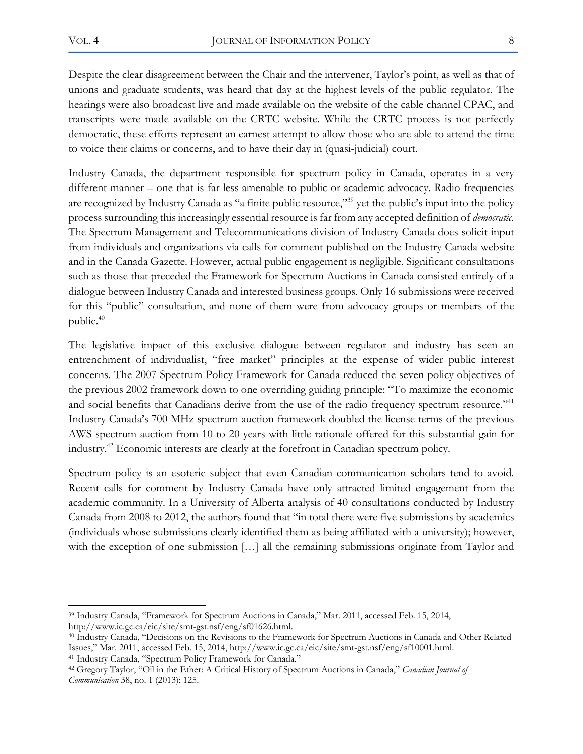Despite the clear disagreement between the Chair and the intervener, Taylor's point, as well as that of unions and graduate students, was heard that day at the highest levels of the public regulator. The hearings were also broadcast live and made available on the website of the cable channel CPAC, and transcripts were made available on the CRTC website. While the CRTC process is not perfectly democratic, these efforts represent an earnest attempt to allow those who are able to attend the time to voice their claims or concerns, and to have their day in (quasi-judicial) court.

Industry Canada, the department responsible for spectrum policy in Canada, operates in a very different manner – one that is far less amenable to public or academic advocacy. Radio frequencies are recognized by Industry Canada as "a finite public resource,"39 yet the public's input into the policy process surrounding this increasingly essential resource is far from any accepted definition of *democratic*. The Spectrum Management and Telecommunications division of Industry Canada does solicit input from individuals and organizations via calls for comment published on the Industry Canada website and in the Canada Gazette. However, actual public engagement is negligible. Significant consultations such as those that preceded the Framework for Spectrum Auctions in Canada consisted entirely of a dialogue between Industry Canada and interested business groups. Only 16 submissions were received for this "public" consultation, and none of them were from advocacy groups or members of the public.40

The legislative impact of this exclusive dialogue between regulator and industry has seen an entrenchment of individualist, "free market" principles at the expense of wider public interest concerns. The 2007 Spectrum Policy Framework for Canada reduced the seven policy objectives of the previous 2002 framework down to one overriding guiding principle: "To maximize the economic and social benefits that Canadians derive from the use of the radio frequency spectrum resource."<sup>41</sup> Industry Canada's 700 MHz spectrum auction framework doubled the license terms of the previous AWS spectrum auction from 10 to 20 years with little rationale offered for this substantial gain for industry.42 Economic interests are clearly at the forefront in Canadian spectrum policy.

Spectrum policy is an esoteric subject that even Canadian communication scholars tend to avoid. Recent calls for comment by Industry Canada have only attracted limited engagement from the academic community. In a University of Alberta analysis of 40 consultations conducted by Industry Canada from 2008 to 2012, the authors found that "in total there were five submissions by academics (individuals whose submissions clearly identified them as being affiliated with a university); however, with the exception of one submission [...] all the remaining submissions originate from Taylor and

<sup>39</sup> Industry Canada, "Framework for Spectrum Auctions in Canada," Mar. 2011, accessed Feb. 15, 2014,

http://www.ic.gc.ca/eic/site/smt-gst.nsf/eng/sf01626.html. 40 Industry Canada, "Decisions on the Revisions to the Framework for Spectrum Auctions in Canada and Other Related Issues," Mar. 2011, accessed Feb. 15, 2014, http://www.ic.gc.ca/eic/site/smt-gst.nsf/eng/sf10001.html. 41 Industry Canada, "Spectrum Policy Framework for Canada."

<sup>42</sup> Gregory Taylor, "Oil in the Ether: A Critical History of Spectrum Auctions in Canada," *Canadian Journal of Communication* 38, no. 1 (2013): 125.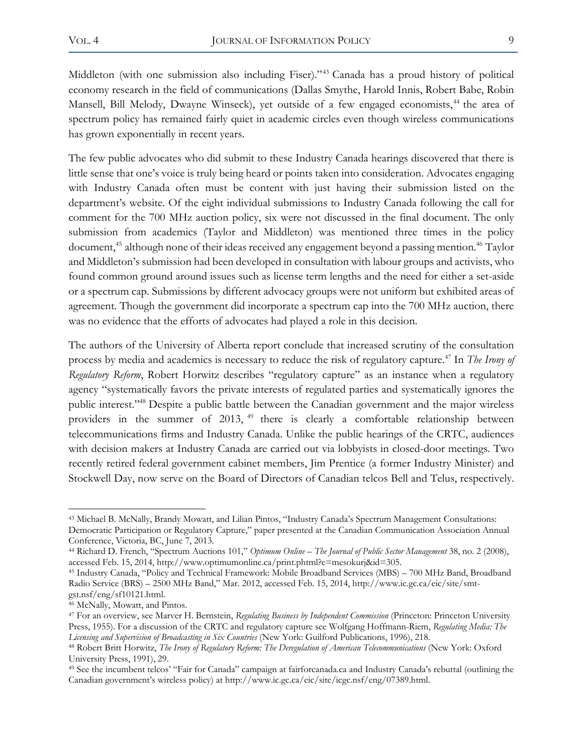Middleton (with one submission also including Fiser)."43 Canada has a proud history of political economy research in the field of communications (Dallas Smythe, Harold Innis, Robert Babe, Robin Mansell, Bill Melody, Dwayne Winseck), yet outside of a few engaged economists,<sup>44</sup> the area of spectrum policy has remained fairly quiet in academic circles even though wireless communications has grown exponentially in recent years.

The few public advocates who did submit to these Industry Canada hearings discovered that there is little sense that one's voice is truly being heard or points taken into consideration. Advocates engaging with Industry Canada often must be content with just having their submission listed on the department's website. Of the eight individual submissions to Industry Canada following the call for comment for the 700 MHz auction policy, six were not discussed in the final document. The only submission from academics (Taylor and Middleton) was mentioned three times in the policy document,<sup>45</sup> although none of their ideas received any engagement beyond a passing mention.<sup>46</sup> Taylor and Middleton's submission had been developed in consultation with labour groups and activists, who found common ground around issues such as license term lengths and the need for either a set-aside or a spectrum cap. Submissions by different advocacy groups were not uniform but exhibited areas of agreement. Though the government did incorporate a spectrum cap into the 700 MHz auction, there was no evidence that the efforts of advocates had played a role in this decision.

The authors of the University of Alberta report conclude that increased scrutiny of the consultation process by media and academics is necessary to reduce the risk of regulatory capture.47 In *The Irony of Regulatory Reform*, Robert Horwitz describes "regulatory capture" as an instance when a regulatory agency "systematically favors the private interests of regulated parties and systematically ignores the public interest."48 Despite a public battle between the Canadian government and the major wireless providers in the summer of 2013, <sup>49</sup> there is clearly a comfortable relationship between telecommunications firms and Industry Canada. Unlike the public hearings of the CRTC, audiences with decision makers at Industry Canada are carried out via lobbyists in closed-door meetings. Two recently retired federal government cabinet members, Jim Prentice (a former Industry Minister) and Stockwell Day, now serve on the Board of Directors of Canadian telcos Bell and Telus, respectively.

<sup>43</sup> Michael B. McNally, Brandy Mowatt, and Lilian Pintos, "Industry Canada's Spectrum Management Consultations: Democratic Participation or Regulatory Capture," paper presented at the Canadian Communication Association Annual Conference, Victoria, BC, June 7, 2013.

<sup>44</sup> Richard D. French, "Spectrum Auctions 101," *Optimum Online – The Journal of Public Sector Management* 38, no. 2 (2008), accessed Feb. 15, 2014, http://www.optimumonline.ca/print.phtml?e=mesokurj&id=305. 45 Industry Canada, "Policy and Technical Framework: Mobile Broadband Services (MBS) – 700 MHz Band, Broadband

Radio Service (BRS) – 2500 MHz Band," Mar. 2012, accessed Feb. 15, 2014, http://www.ic.gc.ca/eic/site/smtgst.nsf/eng/sf10121.html.

<sup>46</sup> McNally, Mowatt, and Pintos.

<sup>47</sup> For an overview, see Marver H. Bernstein, *Regulating Business by Independent Commission* (Princeton: Princeton University Press, 1955). For a discussion of the CRTC and regulatory capture see Wolfgang Hoffmann-Riem, *Regulating Media: The*  Licensing and Supervision of Broadcasting in Six Countries (New York: Guilford Publications, 1996), 218.<br><sup>48</sup> Robert Britt Horwitz, The Irony of Regulatory Reform: The Deregulation of American Telecommunications (New York:

University Press, 1991), 29.

<sup>49</sup> See the incumbent telcos' "Fair for Canada" campaign at fairforcanada.ca and Industry Canada's rebuttal (outlining the Canadian government's wireless policy) at http://www.ic.gc.ca/eic/site/icgc.nsf/eng/07389.html.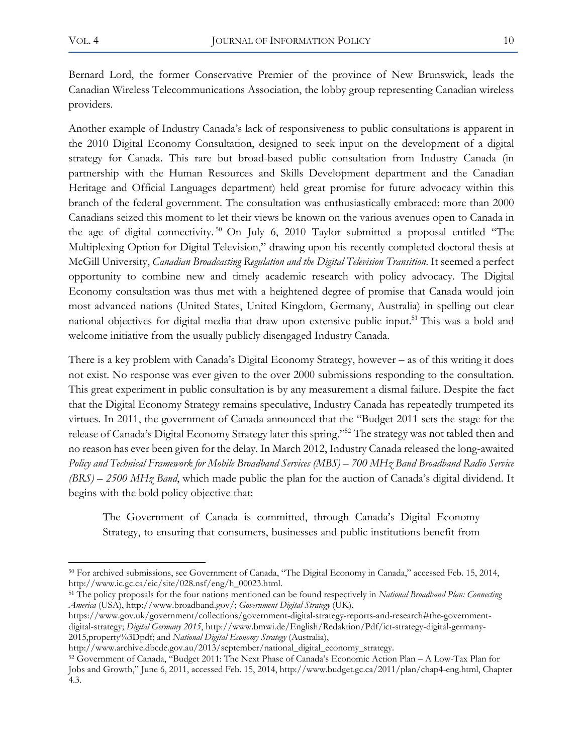Bernard Lord, the former Conservative Premier of the province of New Brunswick, leads the Canadian Wireless Telecommunications Association, the lobby group representing Canadian wireless providers.

Another example of Industry Canada's lack of responsiveness to public consultations is apparent in the 2010 Digital Economy Consultation, designed to seek input on the development of a digital strategy for Canada. This rare but broad-based public consultation from Industry Canada (in partnership with the Human Resources and Skills Development department and the Canadian Heritage and Official Languages department) held great promise for future advocacy within this branch of the federal government. The consultation was enthusiastically embraced: more than 2000 Canadians seized this moment to let their views be known on the various avenues open to Canada in the age of digital connectivity. 50 On July 6, 2010 Taylor submitted a proposal entitled "The Multiplexing Option for Digital Television," drawing upon his recently completed doctoral thesis at McGill University, *Canadian Broadcasting Regulation and the Digital Television Transition*. It seemed a perfect opportunity to combine new and timely academic research with policy advocacy. The Digital Economy consultation was thus met with a heightened degree of promise that Canada would join most advanced nations (United States, United Kingdom, Germany, Australia) in spelling out clear national objectives for digital media that draw upon extensive public input.<sup>51</sup> This was a bold and welcome initiative from the usually publicly disengaged Industry Canada.

There is a key problem with Canada's Digital Economy Strategy, however – as of this writing it does not exist. No response was ever given to the over 2000 submissions responding to the consultation. This great experiment in public consultation is by any measurement a dismal failure. Despite the fact that the Digital Economy Strategy remains speculative, Industry Canada has repeatedly trumpeted its virtues. In 2011, the government of Canada announced that the "Budget 2011 sets the stage for the release of Canada's Digital Economy Strategy later this spring."52 The strategy was not tabled then and no reason has ever been given for the delay. In March 2012, Industry Canada released the long-awaited *Policy and Technical Framework for Mobile Broadband Services (MBS) – 700 MHz Band Broadband Radio Service (BRS) – 2500 MHz Band*, which made public the plan for the auction of Canada's digital dividend. It begins with the bold policy objective that:

The Government of Canada is committed, through Canada's Digital Economy Strategy, to ensuring that consumers, businesses and public institutions benefit from

<sup>50</sup> For archived submissions, see Government of Canada, "The Digital Economy in Canada," accessed Feb. 15, 2014, http://www.ic.gc.ca/eic/site/028.nsf/eng/h\_00023.html. 51 The policy proposals for the four nations mentioned can be found respectively in *National Broadband Plan: Connecting* 

*America* (USA), http://www.broadband.gov/; *Government Digital Strategy* (UK),

https://www.gov.uk/government/collections/government-digital-strategy-reports-and-research#the-governmentdigital-strategy; *Digital Germany 2015*, http://www.bmwi.de/English/Redaktion/Pdf/ict-strategy-digital-germany-2015,property%3Dpdf; and *National Digital Economy Strategy* (Australia),

http://www.archive.dbcde.gov.au/2013/september/national\_digital\_economy\_strategy. 52 Government of Canada, "Budget 2011: The Next Phase of Canada's Economic Action Plan – A Low-Tax Plan for Jobs and Growth," June 6, 2011, accessed Feb. 15, 2014, http://www.budget.gc.ca/2011/plan/chap4-eng.html, Chapter 4.3.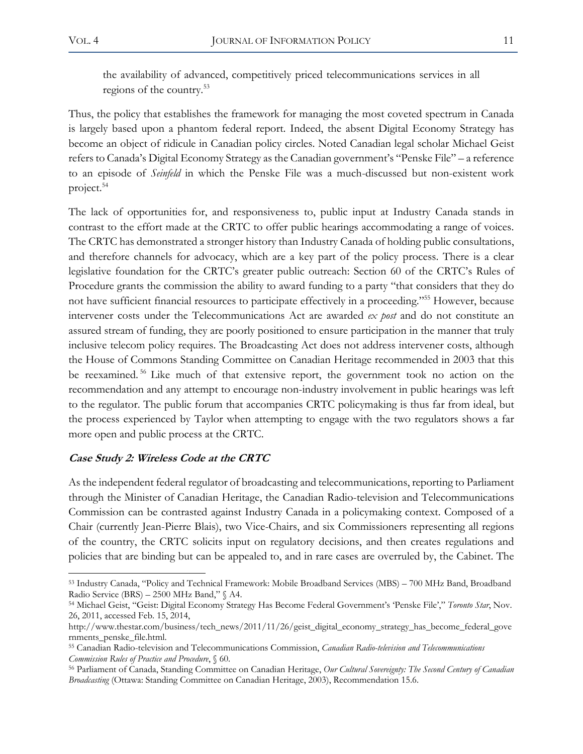Thus, the policy that establishes the framework for managing the most coveted spectrum in Canada is largely based upon a phantom federal report. Indeed, the absent Digital Economy Strategy has become an object of ridicule in Canadian policy circles. Noted Canadian legal scholar Michael Geist refers to Canada's Digital Economy Strategy as the Canadian government's "Penske File" – a reference to an episode of *Seinfeld* in which the Penske File was a much-discussed but non-existent work project.<sup>54</sup>

The lack of opportunities for, and responsiveness to, public input at Industry Canada stands in contrast to the effort made at the CRTC to offer public hearings accommodating a range of voices. The CRTC has demonstrated a stronger history than Industry Canada of holding public consultations, and therefore channels for advocacy, which are a key part of the policy process. There is a clear legislative foundation for the CRTC's greater public outreach: Section 60 of the CRTC's Rules of Procedure grants the commission the ability to award funding to a party "that considers that they do not have sufficient financial resources to participate effectively in a proceeding."55 However, because intervener costs under the Telecommunications Act are awarded *ex post* and do not constitute an assured stream of funding, they are poorly positioned to ensure participation in the manner that truly inclusive telecom policy requires. The Broadcasting Act does not address intervener costs, although the House of Commons Standing Committee on Canadian Heritage recommended in 2003 that this be reexamined.<sup>56</sup> Like much of that extensive report, the government took no action on the recommendation and any attempt to encourage non-industry involvement in public hearings was left to the regulator. The public forum that accompanies CRTC policymaking is thus far from ideal, but the process experienced by Taylor when attempting to engage with the two regulators shows a far more open and public process at the CRTC.

#### **Case Study 2: Wireless Code at the CRTC**

As the independent federal regulator of broadcasting and telecommunications, reporting to Parliament through the Minister of Canadian Heritage, the Canadian Radio-television and Telecommunications Commission can be contrasted against Industry Canada in a policymaking context. Composed of a Chair (currently Jean-Pierre Blais), two Vice-Chairs, and six Commissioners representing all regions of the country, the CRTC solicits input on regulatory decisions, and then creates regulations and policies that are binding but can be appealed to, and in rare cases are overruled by, the Cabinet. The

<sup>53</sup> Industry Canada, "Policy and Technical Framework: Mobile Broadband Services (MBS) – 700 MHz Band, Broadband Radio Service (BRS) – 2500 MHz Band," § A4.

<sup>54</sup> Michael Geist, "Geist: Digital Economy Strategy Has Become Federal Government's 'Penske File'," *Toronto Star*, Nov. 26, 2011, accessed Feb. 15, 2014,

http://www.thestar.com/business/tech\_news/2011/11/26/geist\_digital\_economy\_strategy\_has\_become\_federal\_gove rnments\_penske\_file.html.

<sup>55</sup> Canadian Radio-television and Telecommunications Commission, *Canadian Radio-television and Telecommunications Commission Rules of Practice and Procedure*, § 60.<br><sup>56</sup> Parliament of Canada, Standing Committee on Canadian Heritage, *Our Cultural Sovereignty: The Second Century of Canadian* 

*Broadcasting* (Ottawa: Standing Committee on Canadian Heritage, 2003), Recommendation 15.6.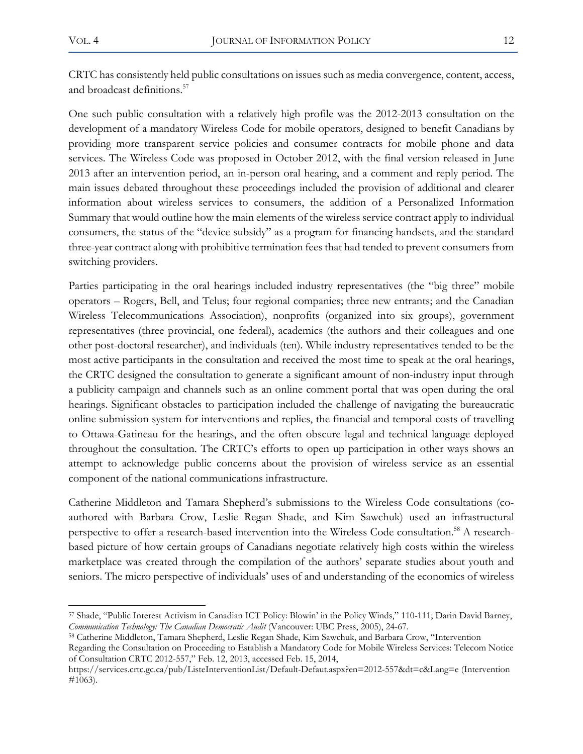CRTC has consistently held public consultations on issues such as media convergence, content, access, and broadcast definitions.<sup>57</sup>

One such public consultation with a relatively high profile was the 2012-2013 consultation on the development of a mandatory Wireless Code for mobile operators, designed to benefit Canadians by providing more transparent service policies and consumer contracts for mobile phone and data services. The Wireless Code was proposed in October 2012, with the final version released in June 2013 after an intervention period, an in-person oral hearing, and a comment and reply period. The main issues debated throughout these proceedings included the provision of additional and clearer information about wireless services to consumers, the addition of a Personalized Information Summary that would outline how the main elements of the wireless service contract apply to individual consumers, the status of the "device subsidy" as a program for financing handsets, and the standard three-year contract along with prohibitive termination fees that had tended to prevent consumers from switching providers.

Parties participating in the oral hearings included industry representatives (the "big three" mobile operators – Rogers, Bell, and Telus; four regional companies; three new entrants; and the Canadian Wireless Telecommunications Association), nonprofits (organized into six groups), government representatives (three provincial, one federal), academics (the authors and their colleagues and one other post-doctoral researcher), and individuals (ten). While industry representatives tended to be the most active participants in the consultation and received the most time to speak at the oral hearings, the CRTC designed the consultation to generate a significant amount of non-industry input through a publicity campaign and channels such as an online comment portal that was open during the oral hearings. Significant obstacles to participation included the challenge of navigating the bureaucratic online submission system for interventions and replies, the financial and temporal costs of travelling to Ottawa-Gatineau for the hearings, and the often obscure legal and technical language deployed throughout the consultation. The CRTC's efforts to open up participation in other ways shows an attempt to acknowledge public concerns about the provision of wireless service as an essential component of the national communications infrastructure.

Catherine Middleton and Tamara Shepherd's submissions to the Wireless Code consultations (coauthored with Barbara Crow, Leslie Regan Shade, and Kim Sawchuk) used an infrastructural perspective to offer a research-based intervention into the Wireless Code consultation.<sup>58</sup> A researchbased picture of how certain groups of Canadians negotiate relatively high costs within the wireless marketplace was created through the compilation of the authors' separate studies about youth and seniors. The micro perspective of individuals' uses of and understanding of the economics of wireless

<sup>57</sup> Shade, "Public Interest Activism in Canadian ICT Policy: Blowin' in the Policy Winds," 110-111; Darin David Barney, *Communication Technology: The Canadian Democratic Audit* (Vancouver: UBC Press, 2005), 24-67. 58 Catherine Middleton, Tamara Shepherd, Leslie Regan Shade, Kim Sawchuk, and Barbara Crow, "Intervention

Regarding the Consultation on Proceeding to Establish a Mandatory Code for Mobile Wireless Services: Telecom Notice of Consultation CRTC 2012-557," Feb. 12, 2013, accessed Feb. 15, 2014,

https://services.crtc.gc.ca/pub/ListeInterventionList/Default-Defaut.aspx?en=2012-557&dt=c&Lang=e (Intervention #1063).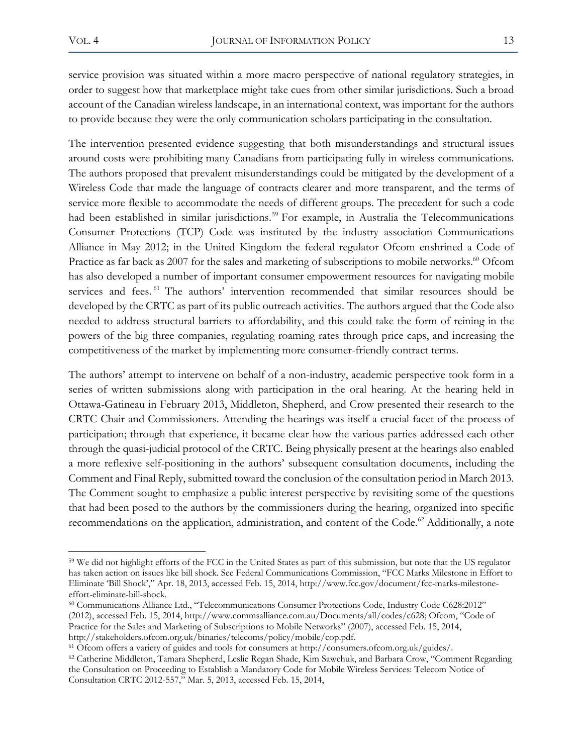service provision was situated within a more macro perspective of national regulatory strategies, in order to suggest how that marketplace might take cues from other similar jurisdictions. Such a broad account of the Canadian wireless landscape, in an international context, was important for the authors to provide because they were the only communication scholars participating in the consultation.

The intervention presented evidence suggesting that both misunderstandings and structural issues around costs were prohibiting many Canadians from participating fully in wireless communications. The authors proposed that prevalent misunderstandings could be mitigated by the development of a Wireless Code that made the language of contracts clearer and more transparent, and the terms of service more flexible to accommodate the needs of different groups. The precedent for such a code had been established in similar jurisdictions.<sup>59</sup> For example, in Australia the Telecommunications Consumer Protections (TCP) Code was instituted by the industry association Communications Alliance in May 2012; in the United Kingdom the federal regulator Ofcom enshrined a Code of Practice as far back as 2007 for the sales and marketing of subscriptions to mobile networks.<sup>60</sup> Ofcom has also developed a number of important consumer empowerment resources for navigating mobile services and fees. <sup>61</sup> The authors' intervention recommended that similar resources should be developed by the CRTC as part of its public outreach activities. The authors argued that the Code also needed to address structural barriers to affordability, and this could take the form of reining in the powers of the big three companies, regulating roaming rates through price caps, and increasing the competitiveness of the market by implementing more consumer-friendly contract terms.

The authors' attempt to intervene on behalf of a non-industry, academic perspective took form in a series of written submissions along with participation in the oral hearing. At the hearing held in Ottawa-Gatineau in February 2013, Middleton, Shepherd, and Crow presented their research to the CRTC Chair and Commissioners. Attending the hearings was itself a crucial facet of the process of participation; through that experience, it became clear how the various parties addressed each other through the quasi-judicial protocol of the CRTC. Being physically present at the hearings also enabled a more reflexive self-positioning in the authors' subsequent consultation documents, including the Comment and Final Reply, submitted toward the conclusion of the consultation period in March 2013. The Comment sought to emphasize a public interest perspective by revisiting some of the questions that had been posed to the authors by the commissioners during the hearing, organized into specific recommendations on the application, administration, and content of the Code.<sup>62</sup> Additionally, a note

<sup>59</sup> We did not highlight efforts of the FCC in the United States as part of this submission, but note that the US regulator has taken action on issues like bill shock. See Federal Communications Commission, "FCC Marks Milestone in Effort to Eliminate 'Bill Shock'," Apr. 18, 2013, accessed Feb. 15, 2014, http://www.fcc.gov/document/fcc-marks-milestoneeffort-eliminate-bill-shock.

<sup>60</sup> Communications Alliance Ltd., "Telecommunications Consumer Protections Code, Industry Code C628:2012" (2012), accessed Feb. 15, 2014, http://www.commsalliance.com.au/Documents/all/codes/c628; Ofcom, "Code of Practice for the Sales and Marketing of Subscriptions to Mobile Networks" (2007), accessed Feb. 15, 2014,

http://stakeholders.ofcom.org.uk/binaries/telecoms/policy/mobile/cop.pdf.<br><sup>61</sup> Ofcom offers a variety of guides and tools for consumers at http://consumers.ofcom.org.uk/guides/.<br><sup>62</sup> Catherine Middleton, Tamara Shepherd, L the Consultation on Proceeding to Establish a Mandatory Code for Mobile Wireless Services: Telecom Notice of Consultation CRTC 2012-557," Mar. 5, 2013, accessed Feb. 15, 2014,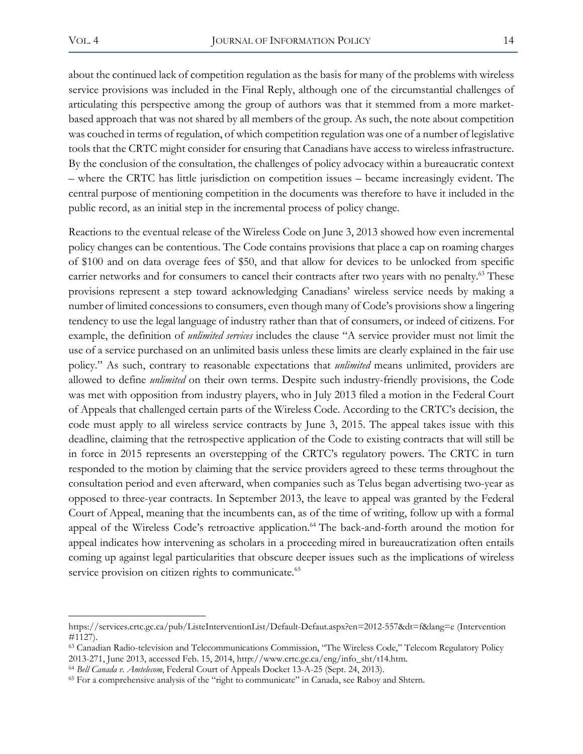about the continued lack of competition regulation as the basis for many of the problems with wireless service provisions was included in the Final Reply, although one of the circumstantial challenges of articulating this perspective among the group of authors was that it stemmed from a more marketbased approach that was not shared by all members of the group. As such, the note about competition was couched in terms of regulation, of which competition regulation was one of a number of legislative tools that the CRTC might consider for ensuring that Canadians have access to wireless infrastructure. By the conclusion of the consultation, the challenges of policy advocacy within a bureaucratic context – where the CRTC has little jurisdiction on competition issues – became increasingly evident. The central purpose of mentioning competition in the documents was therefore to have it included in the public record, as an initial step in the incremental process of policy change.

Reactions to the eventual release of the Wireless Code on June 3, 2013 showed how even incremental policy changes can be contentious. The Code contains provisions that place a cap on roaming charges of \$100 and on data overage fees of \$50, and that allow for devices to be unlocked from specific carrier networks and for consumers to cancel their contracts after two years with no penalty.<sup>63</sup> These provisions represent a step toward acknowledging Canadians' wireless service needs by making a number of limited concessions to consumers, even though many of Code's provisions show a lingering tendency to use the legal language of industry rather than that of consumers, or indeed of citizens. For example, the definition of *unlimited services* includes the clause "A service provider must not limit the use of a service purchased on an unlimited basis unless these limits are clearly explained in the fair use policy." As such, contrary to reasonable expectations that *unlimited* means unlimited, providers are allowed to define *unlimited* on their own terms. Despite such industry-friendly provisions, the Code was met with opposition from industry players, who in July 2013 filed a motion in the Federal Court of Appeals that challenged certain parts of the Wireless Code. According to the CRTC's decision, the code must apply to all wireless service contracts by June 3, 2015. The appeal takes issue with this deadline, claiming that the retrospective application of the Code to existing contracts that will still be in force in 2015 represents an overstepping of the CRTC's regulatory powers. The CRTC in turn responded to the motion by claiming that the service providers agreed to these terms throughout the consultation period and even afterward, when companies such as Telus began advertising two-year as opposed to three-year contracts. In September 2013, the leave to appeal was granted by the Federal Court of Appeal, meaning that the incumbents can, as of the time of writing, follow up with a formal appeal of the Wireless Code's retroactive application.<sup>64</sup> The back-and-forth around the motion for appeal indicates how intervening as scholars in a proceeding mired in bureaucratization often entails coming up against legal particularities that obscure deeper issues such as the implications of wireless service provision on citizen rights to communicate.<sup>65</sup>

https://services.crtc.gc.ca/pub/ListeInterventionList/Default-Defaut.aspx?en=2012-557&dt=f&lang=e (Intervention #1127).

<sup>63</sup> Canadian Radio-television and Telecommunications Commission, "The Wireless Code," Telecom Regulatory Policy 2013-271, June 2013, accessed Feb. 15, 2014, http://www.crtc.gc.ca/eng/info\_sht/t14.htm.<br><sup>64</sup> Bell Canada v. Amtelecom, Federal Court of Appeals Docket 13-A-25 (Sept. 24, 2013).<br><sup>65</sup> For a comprehensive analysis of the "ri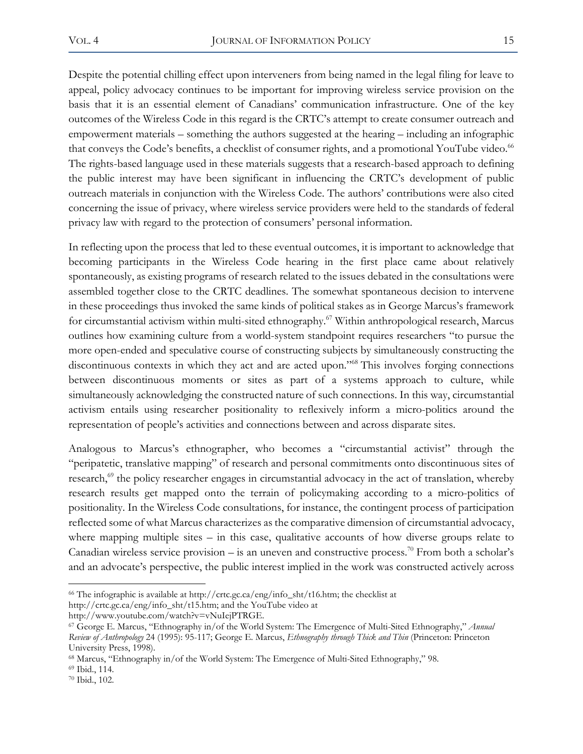outcomes of the Wireless Code in this regard is the CRTC's attempt to create consumer outreach and empowerment materials – something the authors suggested at the hearing – including an infographic that conveys the Code's benefits, a checklist of consumer rights, and a promotional YouTube video.<sup>66</sup> The rights-based language used in these materials suggests that a research-based approach to defining the public interest may have been significant in influencing the CRTC's development of public outreach materials in conjunction with the Wireless Code. The authors' contributions were also cited concerning the issue of privacy, where wireless service providers were held to the standards of federal privacy law with regard to the protection of consumers' personal information.

In reflecting upon the process that led to these eventual outcomes, it is important to acknowledge that becoming participants in the Wireless Code hearing in the first place came about relatively spontaneously, as existing programs of research related to the issues debated in the consultations were assembled together close to the CRTC deadlines. The somewhat spontaneous decision to intervene in these proceedings thus invoked the same kinds of political stakes as in George Marcus's framework for circumstantial activism within multi-sited ethnography.<sup>67</sup> Within anthropological research, Marcus outlines how examining culture from a world-system standpoint requires researchers "to pursue the more open-ended and speculative course of constructing subjects by simultaneously constructing the discontinuous contexts in which they act and are acted upon."68 This involves forging connections between discontinuous moments or sites as part of a systems approach to culture, while simultaneously acknowledging the constructed nature of such connections. In this way, circumstantial activism entails using researcher positionality to reflexively inform a micro-politics around the representation of people's activities and connections between and across disparate sites.

Analogous to Marcus's ethnographer, who becomes a "circumstantial activist" through the "peripatetic, translative mapping" of research and personal commitments onto discontinuous sites of research,<sup>69</sup> the policy researcher engages in circumstantial advocacy in the act of translation, whereby research results get mapped onto the terrain of policymaking according to a micro-politics of positionality. In the Wireless Code consultations, for instance, the contingent process of participation reflected some of what Marcus characterizes as the comparative dimension of circumstantial advocacy, where mapping multiple sites – in this case, qualitative accounts of how diverse groups relate to Canadian wireless service provision – is an uneven and constructive process.<sup>70</sup> From both a scholar's and an advocate's perspective, the public interest implied in the work was constructed actively across

<sup>&</sup>lt;sup>66</sup> The infographic is available at http://crtc.gc.ca/eng/info\_sht/t16.htm; the checklist at

http://crtc.gc.ca/eng/info\_sht/t15.htm; and the YouTube video at

http://www.youtube.com/watch?v=vNuIejPTRGE.<br><sup>67</sup> George E. Marcus, "Ethnography in/of the World System: The Emergence of Multi-Sited Ethnography," *Annual Review of Anthropology* 24 (1995): 95-117; George E. Marcus, *Ethnography through Thick and Thin* (Princeton: Princeton University Press, 1998).

<sup>68</sup> Marcus, "Ethnography in/of the World System: The Emergence of Multi-Sited Ethnography," 98. 69 Ibid., 114.

<sup>70</sup> Ibid., 102.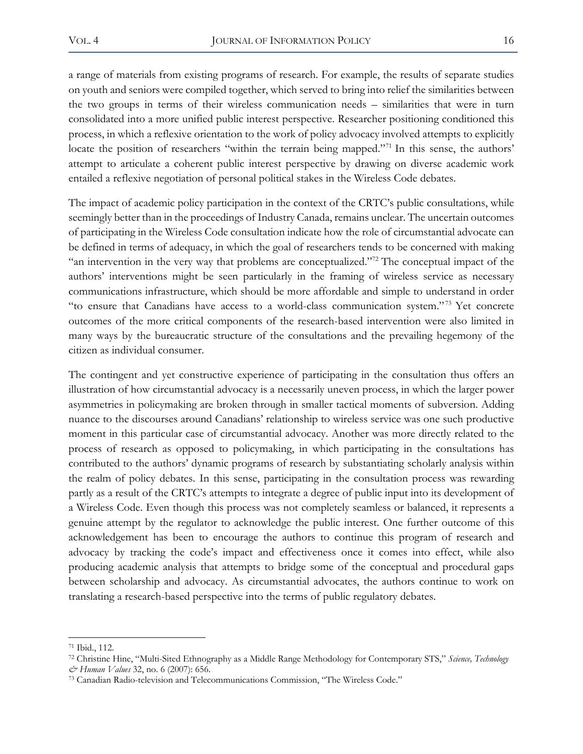a range of materials from existing programs of research. For example, the results of separate studies on youth and seniors were compiled together, which served to bring into relief the similarities between the two groups in terms of their wireless communication needs – similarities that were in turn consolidated into a more unified public interest perspective. Researcher positioning conditioned this process, in which a reflexive orientation to the work of policy advocacy involved attempts to explicitly locate the position of researchers "within the terrain being mapped."<sup>71</sup> In this sense, the authors' attempt to articulate a coherent public interest perspective by drawing on diverse academic work entailed a reflexive negotiation of personal political stakes in the Wireless Code debates.

The impact of academic policy participation in the context of the CRTC's public consultations, while seemingly better than in the proceedings of Industry Canada, remains unclear. The uncertain outcomes of participating in the Wireless Code consultation indicate how the role of circumstantial advocate can be defined in terms of adequacy, in which the goal of researchers tends to be concerned with making "an intervention in the very way that problems are conceptualized."<sup>72</sup> The conceptual impact of the authors' interventions might be seen particularly in the framing of wireless service as necessary communications infrastructure, which should be more affordable and simple to understand in order "to ensure that Canadians have access to a world-class communication system."<sup>73</sup> Yet concrete outcomes of the more critical components of the research-based intervention were also limited in many ways by the bureaucratic structure of the consultations and the prevailing hegemony of the citizen as individual consumer.

The contingent and yet constructive experience of participating in the consultation thus offers an illustration of how circumstantial advocacy is a necessarily uneven process, in which the larger power asymmetries in policymaking are broken through in smaller tactical moments of subversion. Adding nuance to the discourses around Canadians' relationship to wireless service was one such productive moment in this particular case of circumstantial advocacy. Another was more directly related to the process of research as opposed to policymaking, in which participating in the consultations has contributed to the authors' dynamic programs of research by substantiating scholarly analysis within the realm of policy debates. In this sense, participating in the consultation process was rewarding partly as a result of the CRTC's attempts to integrate a degree of public input into its development of a Wireless Code. Even though this process was not completely seamless or balanced, it represents a genuine attempt by the regulator to acknowledge the public interest. One further outcome of this acknowledgement has been to encourage the authors to continue this program of research and advocacy by tracking the code's impact and effectiveness once it comes into effect, while also producing academic analysis that attempts to bridge some of the conceptual and procedural gaps between scholarship and advocacy. As circumstantial advocates, the authors continue to work on translating a research-based perspective into the terms of public regulatory debates.

<sup>71</sup> Ibid., 112.

<sup>72</sup> Christine Hine, "Multi-Sited Ethnography as a Middle Range Methodology for Contemporary STS," *Science, Technology*   $<> Human Values$  32, no. 6 (2007): 656.<br><sup>73</sup> Canadian Radio-television and Telecommunications Commission, "The Wireless Code."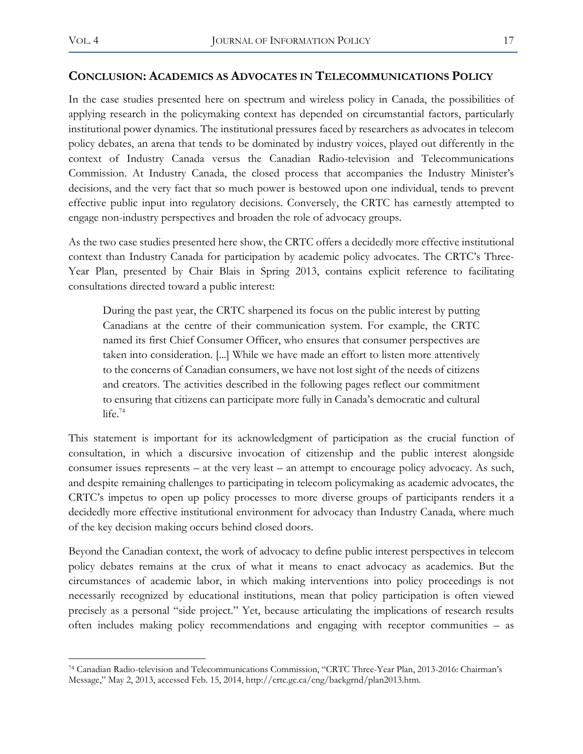#### **CONCLUSION: ACADEMICS AS ADVOCATES IN TELECOMMUNICATIONS POLICY**

In the case studies presented here on spectrum and wireless policy in Canada, the possibilities of applying research in the policymaking context has depended on circumstantial factors, particularly institutional power dynamics. The institutional pressures faced by researchers as advocates in telecom policy debates, an arena that tends to be dominated by industry voices, played out differently in the context of Industry Canada versus the Canadian Radio-television and Telecommunications Commission. At Industry Canada, the closed process that accompanies the Industry Minister's decisions, and the very fact that so much power is bestowed upon one individual, tends to prevent effective public input into regulatory decisions. Conversely, the CRTC has earnestly attempted to engage non-industry perspectives and broaden the role of advocacy groups.

As the two case studies presented here show, the CRTC offers a decidedly more effective institutional context than Industry Canada for participation by academic policy advocates. The CRTC's Three-Year Plan, presented by Chair Blais in Spring 2013, contains explicit reference to facilitating consultations directed toward a public interest:

During the past year, the CRTC sharpened its focus on the public interest by putting Canadians at the centre of their communication system. For example, the CRTC named its first Chief Consumer Officer, who ensures that consumer perspectives are taken into consideration. [...] While we have made an effort to listen more attentively to the concerns of Canadian consumers, we have not lost sight of the needs of citizens and creators. The activities described in the following pages reflect our commitment to ensuring that citizens can participate more fully in Canada's democratic and cultural life.74

This statement is important for its acknowledgment of participation as the crucial function of consultation, in which a discursive invocation of citizenship and the public interest alongside consumer issues represents – at the very least – an attempt to encourage policy advocacy. As such, and despite remaining challenges to participating in telecom policymaking as academic advocates, the CRTC's impetus to open up policy processes to more diverse groups of participants renders it a decidedly more effective institutional environment for advocacy than Industry Canada, where much of the key decision making occurs behind closed doors.

Beyond the Canadian context, the work of advocacy to define public interest perspectives in telecom policy debates remains at the crux of what it means to enact advocacy as academics. But the circumstances of academic labor, in which making interventions into policy proceedings is not necessarily recognized by educational institutions, mean that policy participation is often viewed precisely as a personal "side project." Yet, because articulating the implications of research results often includes making policy recommendations and engaging with receptor communities – as

<sup>74</sup> Canadian Radio-television and Telecommunications Commission, "CRTC Three-Year Plan, 2013-2016: Chairman's Message," May 2, 2013, accessed Feb. 15, 2014, http://crtc.gc.ca/eng/backgrnd/plan2013.htm.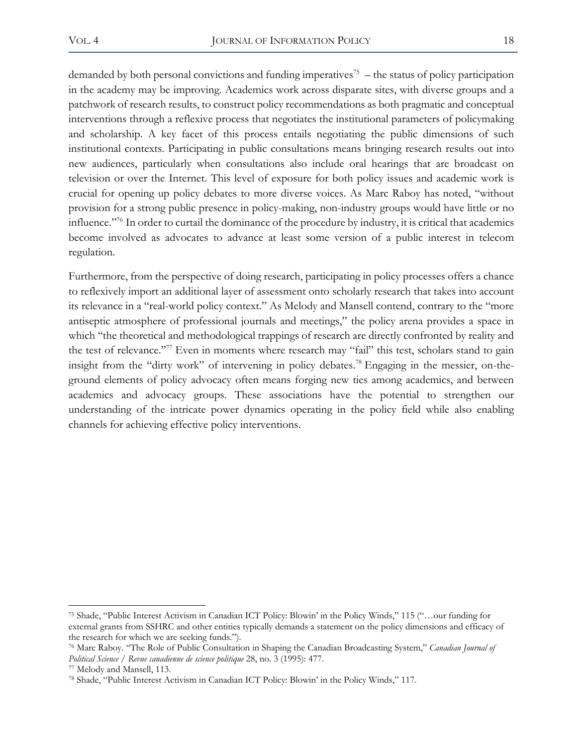demanded by both personal convictions and funding imperatives<sup>75</sup> – the status of policy participation in the academy may be improving. Academics work across disparate sites, with diverse groups and a patchwork of research results, to construct policy recommendations as both pragmatic and conceptual interventions through a reflexive process that negotiates the institutional parameters of policymaking and scholarship. A key facet of this process entails negotiating the public dimensions of such institutional contexts. Participating in public consultations means bringing research results out into new audiences, particularly when consultations also include oral hearings that are broadcast on television or over the Internet. This level of exposure for both policy issues and academic work is crucial for opening up policy debates to more diverse voices. As Marc Raboy has noted, "without provision for a strong public presence in policy-making, non-industry groups would have little or no influence."76 In order to curtail the dominance of the procedure by industry, it is critical that academics become involved as advocates to advance at least some version of a public interest in telecom regulation.

Furthermore, from the perspective of doing research, participating in policy processes offers a chance to reflexively import an additional layer of assessment onto scholarly research that takes into account its relevance in a "real-world policy context." As Melody and Mansell contend, contrary to the "more antiseptic atmosphere of professional journals and meetings," the policy arena provides a space in which "the theoretical and methodological trappings of research are directly confronted by reality and the test of relevance."77 Even in moments where research may "fail" this test, scholars stand to gain insight from the "dirty work" of intervening in policy debates.<sup>78</sup> Engaging in the messier, on-theground elements of policy advocacy often means forging new ties among academics, and between academics and advocacy groups. These associations have the potential to strengthen our understanding of the intricate power dynamics operating in the policy field while also enabling channels for achieving effective policy interventions.

<sup>75</sup> Shade, "Public Interest Activism in Canadian ICT Policy: Blowin' in the Policy Winds," 115 ("…our funding for external grants from SSHRC and other entities typically demands a statement on the policy dimensions and efficacy of the research for which we are seeking funds.").

<sup>76</sup> Marc Raboy. "The Role of Public Consultation in Shaping the Canadian Broadcasting System," *Canadian Journal of Political Science / Revue canadienne de science politique* 28, no. 3 (1995): 477. 77 Melody and Mansell, 113.

<sup>78</sup> Shade, "Public Interest Activism in Canadian ICT Policy: Blowin' in the Policy Winds," 117.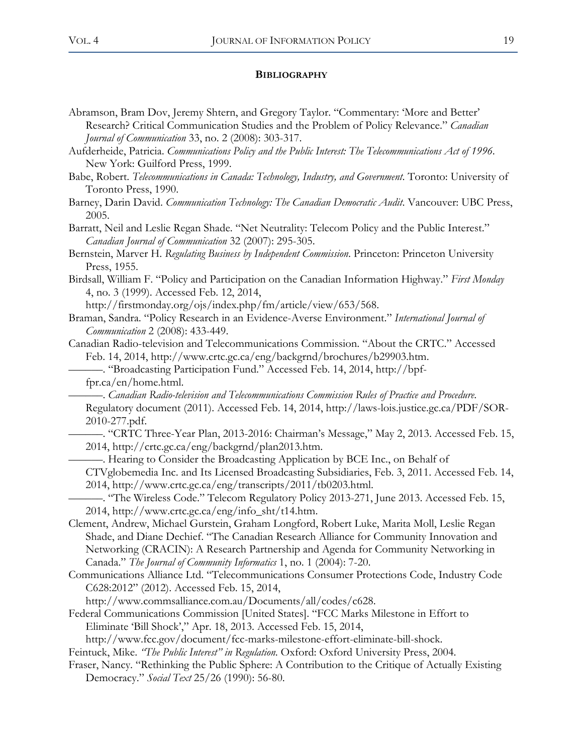#### **BIBLIOGRAPHY**

| Abramson, Bram Dov, Jeremy Shtern, and Gregory Taylor. "Commentary: 'More and Better'<br>Research? Critical Communication Studies and the Problem of Policy Relevance." Canadian |
|----------------------------------------------------------------------------------------------------------------------------------------------------------------------------------|
| Journal of Communication 33, no. 2 (2008): 303-317.<br>Aufderheide, Patricia. Communications Policy and the Public Interest: The Telecommunications Act of 1996.                 |
| New York: Guilford Press, 1999.                                                                                                                                                  |
| Babe, Robert. Telecommunications in Canada: Technology, Industry, and Government. Toronto: University of<br>Toronto Press, 1990.                                                 |
| Barney, Darin David. Communication Technology: The Canadian Democratic Audit. Vancouver: UBC Press,<br>2005.                                                                     |
| Barratt, Neil and Leslie Regan Shade. "Net Neutrality: Telecom Policy and the Public Interest."<br>Canadian Journal of Communication 32 (2007): 295-305.                         |
| Bernstein, Marver H. Regulating Business by Independent Commission. Princeton: Princeton University                                                                              |
| Press, 1955.                                                                                                                                                                     |
| Birdsall, William F. "Policy and Participation on the Canadian Information Highway." First Monday<br>4, no. 3 (1999). Accessed Feb. 12, 2014,                                    |
| http://firstmonday.org/ojs/index.php/fm/article/view/653/568.                                                                                                                    |
| Braman, Sandra. "Policy Research in an Evidence-Averse Environment." International Journal of<br>Communication 2 (2008): 433-449.                                                |
| Canadian Radio-television and Telecommunications Commission. "About the CRTC." Accessed                                                                                          |
| Feb. 14, 2014, http://www.crtc.gc.ca/eng/backgrnd/brochures/b29903.htm.                                                                                                          |
| - "Broadcasting Participation Fund." Accessed Feb. 14, 2014, http://bpf-                                                                                                         |
| fpr.ca/en/home.html.                                                                                                                                                             |
| -. Canadian Radio-television and Telecommunications Commission Rules of Practice and Procedure.                                                                                  |
| Regulatory document (2011). Accessed Feb. 14, 2014, http://laws-lois.justice.gc.ca/PDF/SOR-<br>2010-277.pdf.                                                                     |
| -. "CRTC Three-Year Plan, 2013-2016: Chairman's Message," May 2, 2013. Accessed Feb. 15,                                                                                         |
| 2014, http://crtc.gc.ca/eng/backgrnd/plan2013.htm.                                                                                                                               |
| -. Hearing to Consider the Broadcasting Application by BCE Inc., on Behalf of                                                                                                    |
| CTVglobemedia Inc. and Its Licensed Broadcasting Subsidiaries, Feb. 3, 2011. Accessed Feb. 14,<br>2014, http://www.crtc.gc.ca/eng/transcripts/2011/tb0203.html.                  |
| -. "The Wireless Code." Telecom Regulatory Policy 2013-271, June 2013. Accessed Feb. 15,                                                                                         |
| 2014, http://www.crtc.gc.ca/eng/info_sht/t14.htm.                                                                                                                                |
| Clement, Andrew, Michael Gurstein, Graham Longford, Robert Luke, Marita Moll, Leslie Regan                                                                                       |
| Shade, and Diane Dechief. "The Canadian Research Alliance for Community Innovation and                                                                                           |
| Networking (CRACIN): A Research Partnership and Agenda for Community Networking in                                                                                               |
| Canada." The Journal of Community Informatics 1, no. 1 (2004): 7-20.                                                                                                             |
| Communications Alliance Ltd. "Telecommunications Consumer Protections Code, Industry Code                                                                                        |
| C628:2012" (2012). Accessed Feb. 15, 2014,                                                                                                                                       |
| http://www.commsalliance.com.au/Documents/all/codes/c628.                                                                                                                        |
| Federal Communications Commission [United States]. "FCC Marks Milestone in Effort to                                                                                             |
| Eliminate 'Bill Shock'," Apr. 18, 2013. Accessed Feb. 15, 2014,                                                                                                                  |
| http://www.fcc.gov/document/fcc-marks-milestone-effort-eliminate-bill-shock.                                                                                                     |
| Feintuck, Mike. "The Public Interest" in Regulation. Oxford: Oxford University Press, 2004.                                                                                      |
| Fraser, Nancy. "Rethinking the Public Sphere: A Contribution to the Critique of Actually Existing                                                                                |
| Democracy." Social Text 25/26 (1990): 56-80.                                                                                                                                     |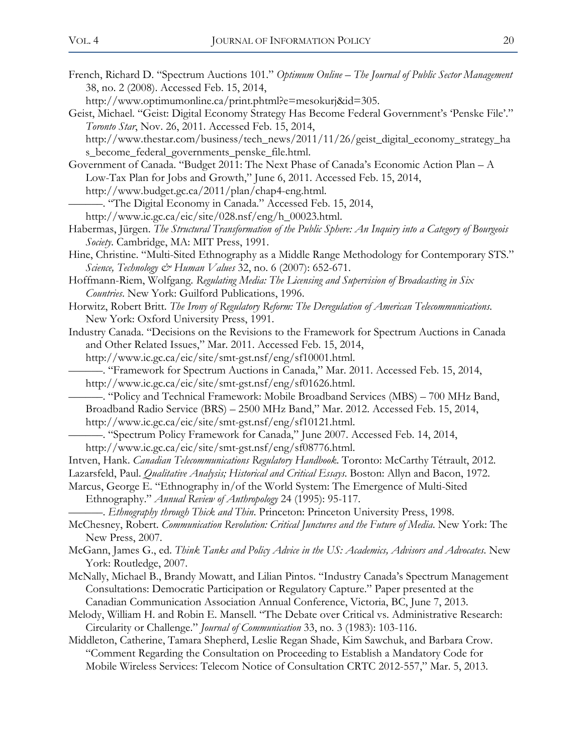- French, Richard D. "Spectrum Auctions 101." *Optimum Online The Journal of Public Sector Management* 38, no. 2 (2008). Accessed Feb. 15, 2014, http://www.optimumonline.ca/print.phtml?e=mesokurj&id=305.
- Geist, Michael. "Geist: Digital Economy Strategy Has Become Federal Government's 'Penske File'." *Toronto Star*, Nov. 26, 2011. Accessed Feb. 15, 2014,
	- http://www.thestar.com/business/tech\_news/2011/11/26/geist\_digital\_economy\_strategy\_ha s\_become\_federal\_governments\_penske\_file.html.
- Government of Canada. "Budget 2011: The Next Phase of Canada's Economic Action Plan A Low-Tax Plan for Jobs and Growth," June 6, 2011. Accessed Feb. 15, 2014, http://www.budget.gc.ca/2011/plan/chap4-eng.html.
	- ––––––. "The Digital Economy in Canada." Accessed Feb. 15, 2014,
	- http://www.ic.gc.ca/eic/site/028.nsf/eng/h\_00023.html.
- Habermas, Jürgen. *The Structural Transformation of the Public Sphere: An Inquiry into a Category of Bourgeois Society*. Cambridge, MA: MIT Press, 1991.
- Hine, Christine. "Multi-Sited Ethnography as a Middle Range Methodology for Contemporary STS." *Science, Technology & Human Values* 32, no. 6 (2007): 652-671.
- Hoffmann-Riem, Wolfgang. *Regulating Media: The Licensing and Supervision of Broadcasting in Six Countries*. New York: Guilford Publications, 1996.
- Horwitz, Robert Britt. *The Irony of Regulatory Reform: The Deregulation of American Telecommunications*. New York: Oxford University Press, 1991.
- Industry Canada. "Decisions on the Revisions to the Framework for Spectrum Auctions in Canada and Other Related Issues," Mar. 2011. Accessed Feb. 15, 2014, http://www.ic.gc.ca/eic/site/smt-gst.nsf/eng/sf10001.html.
	- ––––––. "Framework for Spectrum Auctions in Canada," Mar. 2011. Accessed Feb. 15, 2014, http://www.ic.gc.ca/eic/site/smt-gst.nsf/eng/sf01626.html.
	- ––––––. "Policy and Technical Framework: Mobile Broadband Services (MBS) 700 MHz Band, Broadband Radio Service (BRS) – 2500 MHz Band," Mar. 2012. Accessed Feb. 15, 2014, http://www.ic.gc.ca/eic/site/smt-gst.nsf/eng/sf10121.html.
	- ––––––. "Spectrum Policy Framework for Canada," June 2007. Accessed Feb. 14, 2014, http://www.ic.gc.ca/eic/site/smt-gst.nsf/eng/sf08776.html.
- Intven, Hank. *Canadian Telecommunications Regulatory Handbook*. Toronto: McCarthy Tétrault, 2012.
- Lazarsfeld, Paul. *Qualitative Analysis; Historical and Critical Essays*. Boston: Allyn and Bacon, 1972.
- Marcus, George E. "Ethnography in/of the World System: The Emergence of Multi-Sited Ethnography." *Annual Review of Anthropology* 24 (1995): 95-117.
	- ––––––. *Ethnography through Thick and Thin*. Princeton: Princeton University Press, 1998.
- McChesney, Robert. *Communication Revolution: Critical Junctures and the Future of Media*. New York: The New Press, 2007.
- McGann, James G., ed. *Think Tanks and Policy Advice in the US: Academics, Advisors and Advocates*. New York: Routledge, 2007.
- McNally, Michael B., Brandy Mowatt, and Lilian Pintos. "Industry Canada's Spectrum Management Consultations: Democratic Participation or Regulatory Capture." Paper presented at the Canadian Communication Association Annual Conference, Victoria, BC, June 7, 2013.
- Melody, William H. and Robin E. Mansell. "The Debate over Critical vs. Administrative Research: Circularity or Challenge." *Journal of Communication* 33, no. 3 (1983): 103-116.
- Middleton, Catherine, Tamara Shepherd, Leslie Regan Shade, Kim Sawchuk, and Barbara Crow. "Comment Regarding the Consultation on Proceeding to Establish a Mandatory Code for Mobile Wireless Services: Telecom Notice of Consultation CRTC 2012-557," Mar. 5, 2013.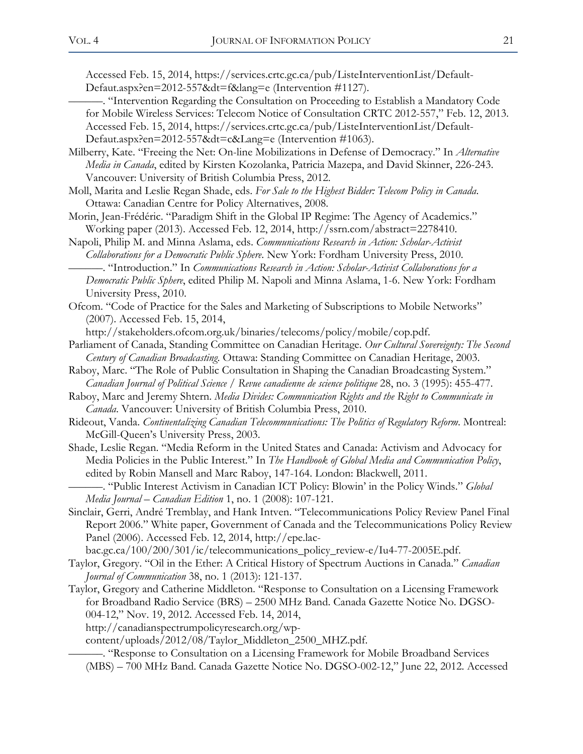Accessed Feb. 15, 2014, https://services.crtc.gc.ca/pub/ListeInterventionList/Default-Defaut.aspx?en=2012-557&dt=f&lang=e (Intervention #1127).

- ––––––. "Intervention Regarding the Consultation on Proceeding to Establish a Mandatory Code for Mobile Wireless Services: Telecom Notice of Consultation CRTC 2012-557," Feb. 12, 2013. Accessed Feb. 15, 2014, https://services.crtc.gc.ca/pub/ListeInterventionList/Default-Defaut.aspx?en=2012-557&dt=c&Lang=e (Intervention #1063).
- Milberry, Kate. "Freeing the Net: On-line Mobilizations in Defense of Democracy." In *Alternative Media in Canada*, edited by Kirsten Kozolanka, Patricia Mazepa, and David Skinner, 226-243. Vancouver: University of British Columbia Press, 2012.
- Moll, Marita and Leslie Regan Shade, eds. *For Sale to the Highest Bidder: Telecom Policy in Canada*. Ottawa: Canadian Centre for Policy Alternatives, 2008.
- Morin, Jean-Frédéric. "Paradigm Shift in the Global IP Regime: The Agency of Academics." Working paper (2013). Accessed Feb. 12, 2014, http://ssrn.com/abstract=2278410.
- Napoli, Philip M. and Minna Aslama, eds. *Communications Research in Action: Scholar-Activist Collaborations for a Democratic Public Sphere*. New York: Fordham University Press, 2010.
- ––––––. "Introduction." In *Communications Research in Action: Scholar-Activist Collaborations for a Democratic Public Sphere*, edited Philip M. Napoli and Minna Aslama, 1-6. New York: Fordham University Press, 2010.
- Ofcom. "Code of Practice for the Sales and Marketing of Subscriptions to Mobile Networks" (2007). Accessed Feb. 15, 2014,
	- http://stakeholders.ofcom.org.uk/binaries/telecoms/policy/mobile/cop.pdf.
- Parliament of Canada, Standing Committee on Canadian Heritage. *Our Cultural Sovereignty: The Second Century of Canadian Broadcasting*. Ottawa: Standing Committee on Canadian Heritage, 2003.
- Raboy, Marc. "The Role of Public Consultation in Shaping the Canadian Broadcasting System." *Canadian Journal of Political Science / Revue canadienne de science politique* 28, no. 3 (1995): 455-477.
- Raboy, Marc and Jeremy Shtern. *Media Divides: Communication Rights and the Right to Communicate in Canada*. Vancouver: University of British Columbia Press, 2010.
- Rideout, Vanda. *Continentalizing Canadian Telecommunications: The Politics of Regulatory Reform*. Montreal: McGill-Queen's University Press, 2003.
- Shade, Leslie Regan. "Media Reform in the United States and Canada: Activism and Advocacy for Media Policies in the Public Interest." In *The Handbook of Global Media and Communication Policy*, edited by Robin Mansell and Marc Raboy, 147-164. London: Blackwell, 2011.
	- ––––––. "Public Interest Activism in Canadian ICT Policy: Blowin' in the Policy Winds." *Global Media Journal – Canadian Edition* 1, no. 1 (2008): 107-121.
- Sinclair, Gerri, André Tremblay, and Hank Intven. "Telecommunications Policy Review Panel Final Report 2006." White paper, Government of Canada and the Telecommunications Policy Review Panel (2006). Accessed Feb. 12, 2014, http://epe.lac-
- bac.gc.ca/100/200/301/ic/telecommunications\_policy\_review-e/Iu4-77-2005E.pdf.
- Taylor, Gregory. "Oil in the Ether: A Critical History of Spectrum Auctions in Canada." *Canadian Journal of Communication* 38, no. 1 (2013): 121-137.
- Taylor, Gregory and Catherine Middleton. "Response to Consultation on a Licensing Framework for Broadband Radio Service (BRS) – 2500 MHz Band. Canada Gazette Notice No. DGSO-004-12," Nov. 19, 2012. Accessed Feb. 14, 2014, http://canadianspectrumpolicyresearch.org/wp
	- content/uploads/2012/08/Taylor\_Middleton\_2500\_MHZ.pdf.
	- ––––––. "Response to Consultation on a Licensing Framework for Mobile Broadband Services (MBS) – 700 MHz Band. Canada Gazette Notice No. DGSO-002-12," June 22, 2012. Accessed